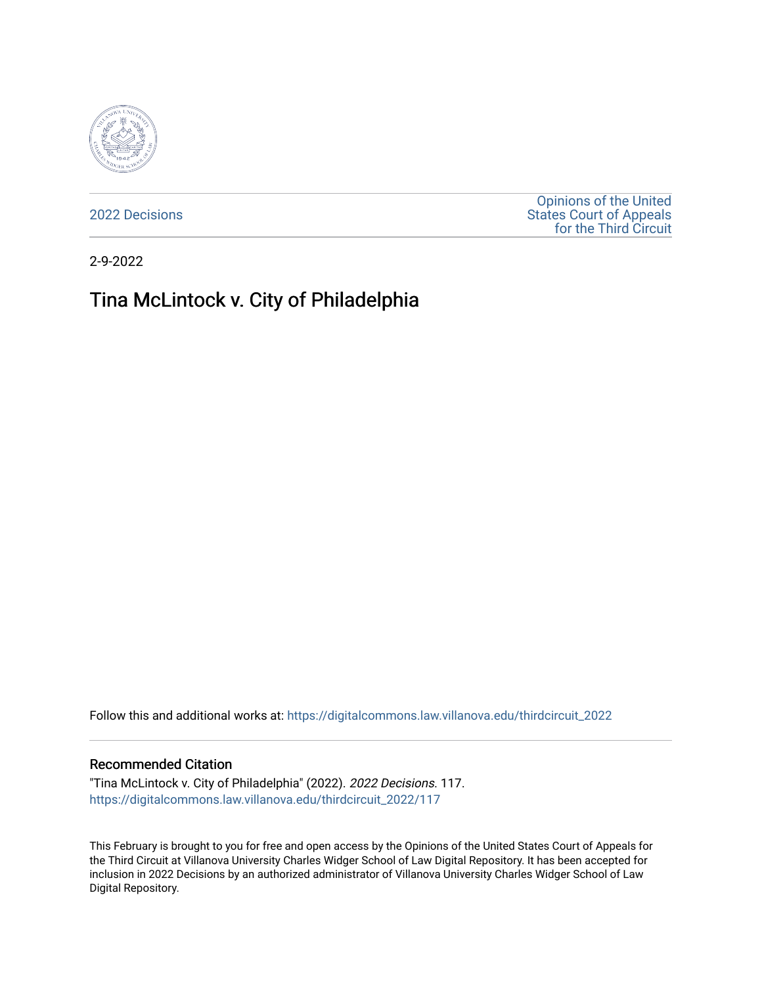

[2022 Decisions](https://digitalcommons.law.villanova.edu/thirdcircuit_2022)

[Opinions of the United](https://digitalcommons.law.villanova.edu/thirdcircuit)  [States Court of Appeals](https://digitalcommons.law.villanova.edu/thirdcircuit)  [for the Third Circuit](https://digitalcommons.law.villanova.edu/thirdcircuit) 

2-9-2022

# Tina McLintock v. City of Philadelphia

Follow this and additional works at: [https://digitalcommons.law.villanova.edu/thirdcircuit\\_2022](https://digitalcommons.law.villanova.edu/thirdcircuit_2022?utm_source=digitalcommons.law.villanova.edu%2Fthirdcircuit_2022%2F117&utm_medium=PDF&utm_campaign=PDFCoverPages) 

#### Recommended Citation

"Tina McLintock v. City of Philadelphia" (2022). 2022 Decisions. 117. [https://digitalcommons.law.villanova.edu/thirdcircuit\\_2022/117](https://digitalcommons.law.villanova.edu/thirdcircuit_2022/117?utm_source=digitalcommons.law.villanova.edu%2Fthirdcircuit_2022%2F117&utm_medium=PDF&utm_campaign=PDFCoverPages)

This February is brought to you for free and open access by the Opinions of the United States Court of Appeals for the Third Circuit at Villanova University Charles Widger School of Law Digital Repository. It has been accepted for inclusion in 2022 Decisions by an authorized administrator of Villanova University Charles Widger School of Law Digital Repository.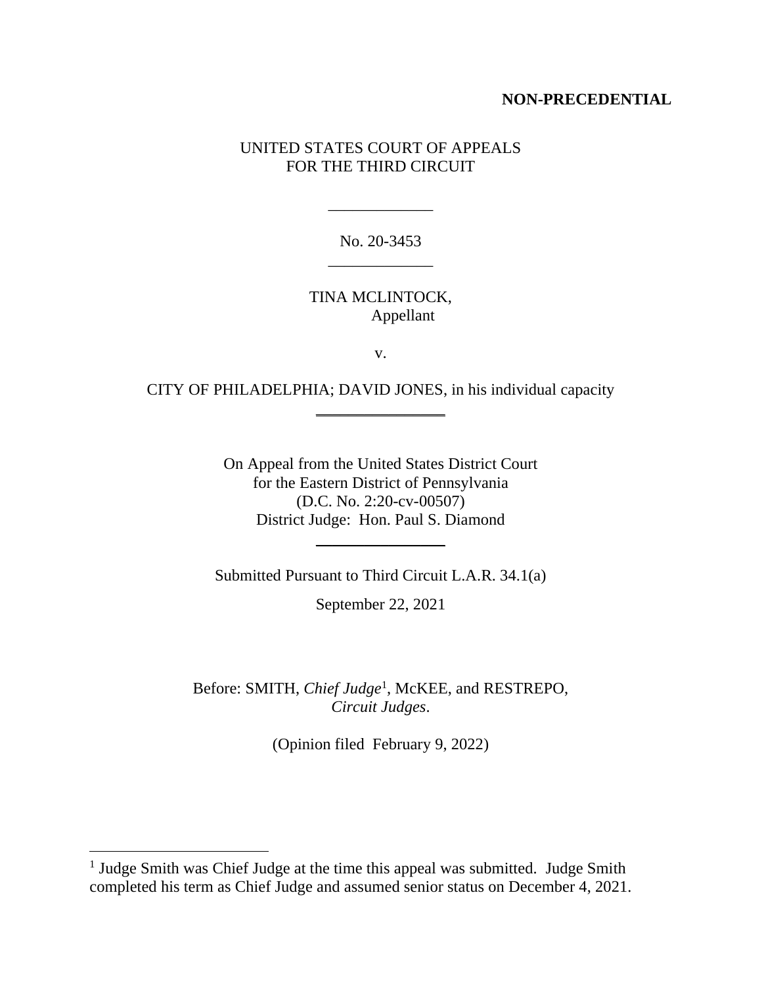### **NON-PRECEDENTIAL**

# UNITED STATES COURT OF APPEALS FOR THE THIRD CIRCUIT

No. 20-3453 \_\_\_\_\_\_\_\_\_\_\_\_\_

\_\_\_\_\_\_\_\_\_\_\_\_\_

TINA MCLINTOCK, Appellant

v.

CITY OF PHILADELPHIA; DAVID JONES, in his individual capacity  $\frac{1}{2}$  , where  $\frac{1}{2}$  , where  $\frac{1}{2}$ 

> On Appeal from the United States District Court for the Eastern District of Pennsylvania (D.C. No. 2:20-cv-00507) District Judge: Hon. Paul S. Diamond

Submitted Pursuant to Third Circuit L.A.R. 34.1(a)

\_\_\_\_\_\_\_\_\_\_\_\_\_\_\_\_

September 22, 2021

Before: SMITH, *Chief Judge*<sup>1</sup> , McKEE, and RESTREPO, *Circuit Judges*.

(Opinion filed February 9, 2022)

<sup>&</sup>lt;sup>1</sup> Judge Smith was Chief Judge at the time this appeal was submitted. Judge Smith completed his term as Chief Judge and assumed senior status on December 4, 2021.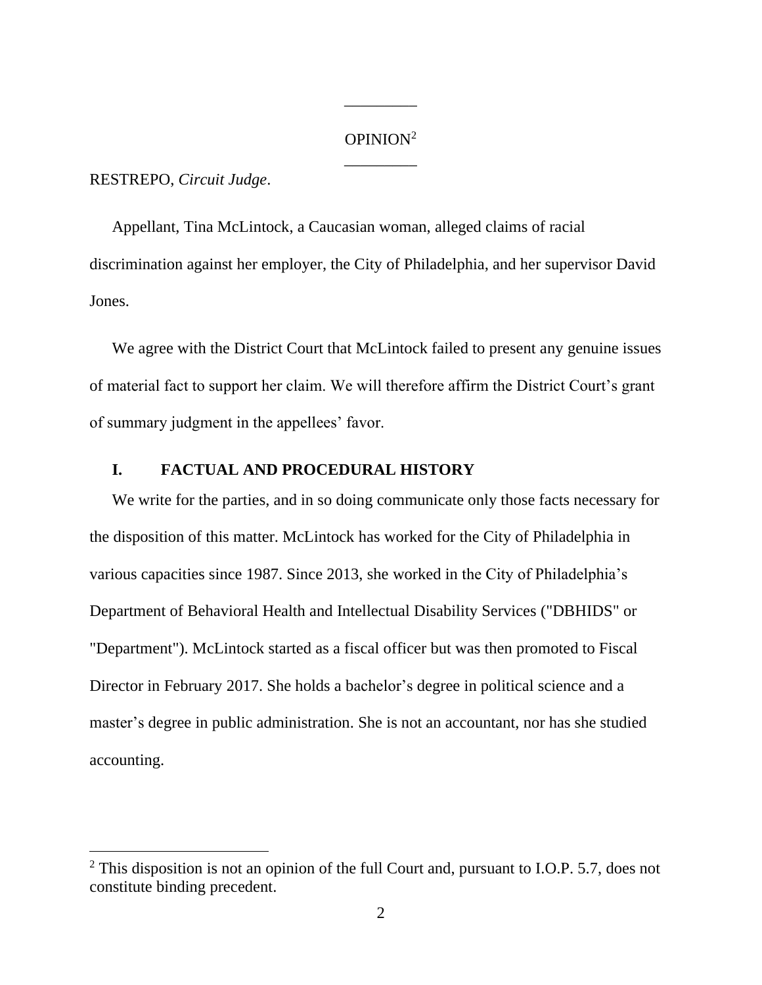# OPINION<sup>2</sup> \_\_\_\_\_\_\_\_\_

\_\_\_\_\_\_\_\_\_

RESTREPO, *Circuit Judge*.

Appellant, Tina McLintock, a Caucasian woman, alleged claims of racial discrimination against her employer, the City of Philadelphia, and her supervisor David Jones.

We agree with the District Court that McLintock failed to present any genuine issues of material fact to support her claim. We will therefore affirm the District Court's grant of summary judgment in the appellees' favor.

## **I. FACTUAL AND PROCEDURAL HISTORY**

We write for the parties, and in so doing communicate only those facts necessary for the disposition of this matter. McLintock has worked for the City of Philadelphia in various capacities since 1987. Since 2013, she worked in the City of Philadelphia's Department of Behavioral Health and Intellectual Disability Services ("DBHIDS" or "Department"). McLintock started as a fiscal officer but was then promoted to Fiscal Director in February 2017. She holds a bachelor's degree in political science and a master's degree in public administration. She is not an accountant, nor has she studied accounting.

 $2$  This disposition is not an opinion of the full Court and, pursuant to I.O.P. 5.7, does not constitute binding precedent.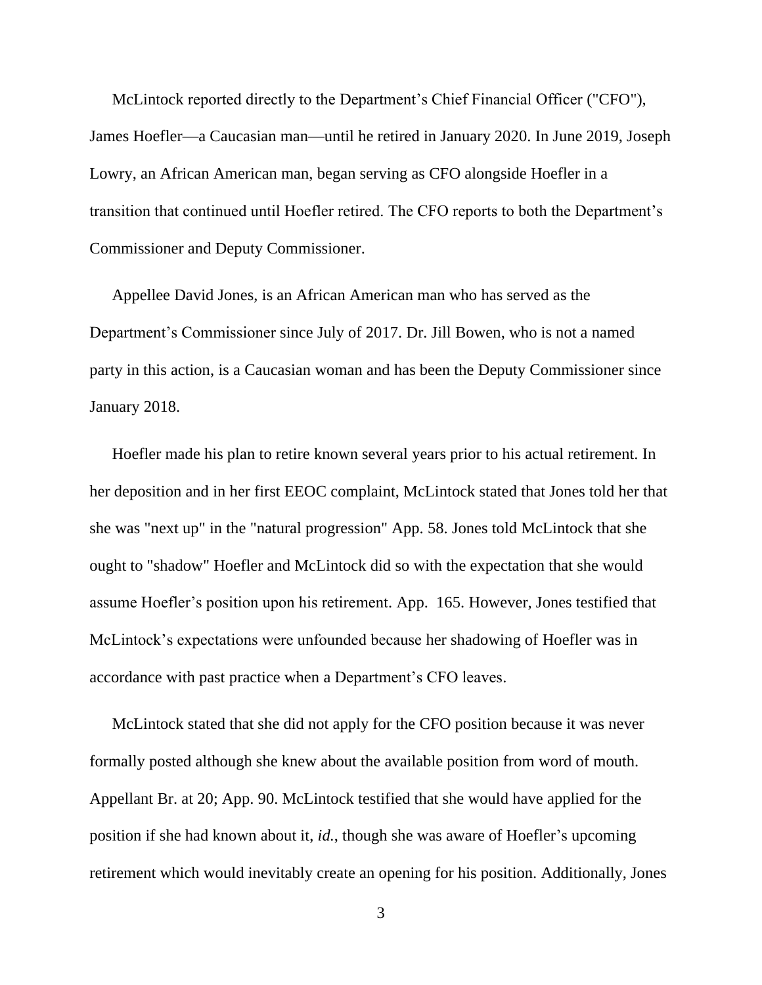McLintock reported directly to the Department's Chief Financial Officer ("CFO"), James Hoefler—a Caucasian man—until he retired in January 2020. In June 2019, Joseph Lowry, an African American man, began serving as CFO alongside Hoefler in a transition that continued until Hoefler retired. The CFO reports to both the Department's Commissioner and Deputy Commissioner.

Appellee David Jones, is an African American man who has served as the Department's Commissioner since July of 2017. Dr. Jill Bowen, who is not a named party in this action, is a Caucasian woman and has been the Deputy Commissioner since January 2018.

Hoefler made his plan to retire known several years prior to his actual retirement. In her deposition and in her first EEOC complaint, McLintock stated that Jones told her that she was "next up" in the "natural progression" App. 58. Jones told McLintock that she ought to "shadow" Hoefler and McLintock did so with the expectation that she would assume Hoefler's position upon his retirement. App. 165. However, Jones testified that McLintock's expectations were unfounded because her shadowing of Hoefler was in accordance with past practice when a Department's CFO leaves.

McLintock stated that she did not apply for the CFO position because it was never formally posted although she knew about the available position from word of mouth. Appellant Br. at 20; App. 90. McLintock testified that she would have applied for the position if she had known about it, *id.*, though she was aware of Hoefler's upcoming retirement which would inevitably create an opening for his position. Additionally, Jones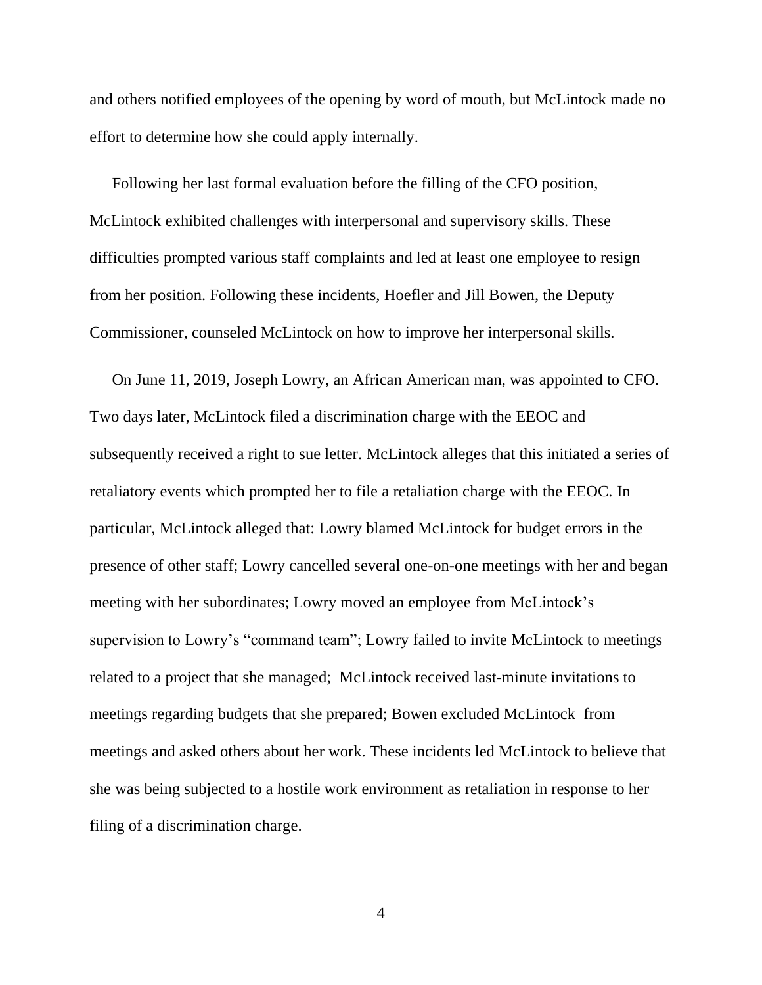and others notified employees of the opening by word of mouth, but McLintock made no effort to determine how she could apply internally.

Following her last formal evaluation before the filling of the CFO position, McLintock exhibited challenges with interpersonal and supervisory skills. These difficulties prompted various staff complaints and led at least one employee to resign from her position. Following these incidents, Hoefler and Jill Bowen, the Deputy Commissioner, counseled McLintock on how to improve her interpersonal skills.

On June 11, 2019, Joseph Lowry, an African American man, was appointed to CFO. Two days later, McLintock filed a discrimination charge with the EEOC and subsequently received a right to sue letter. McLintock alleges that this initiated a series of retaliatory events which prompted her to file a retaliation charge with the EEOC. In particular, McLintock alleged that: Lowry blamed McLintock for budget errors in the presence of other staff; Lowry cancelled several one-on-one meetings with her and began meeting with her subordinates; Lowry moved an employee from McLintock's supervision to Lowry's "command team"; Lowry failed to invite McLintock to meetings related to a project that she managed; McLintock received last-minute invitations to meetings regarding budgets that she prepared; Bowen excluded McLintock from meetings and asked others about her work. These incidents led McLintock to believe that she was being subjected to a hostile work environment as retaliation in response to her filing of a discrimination charge.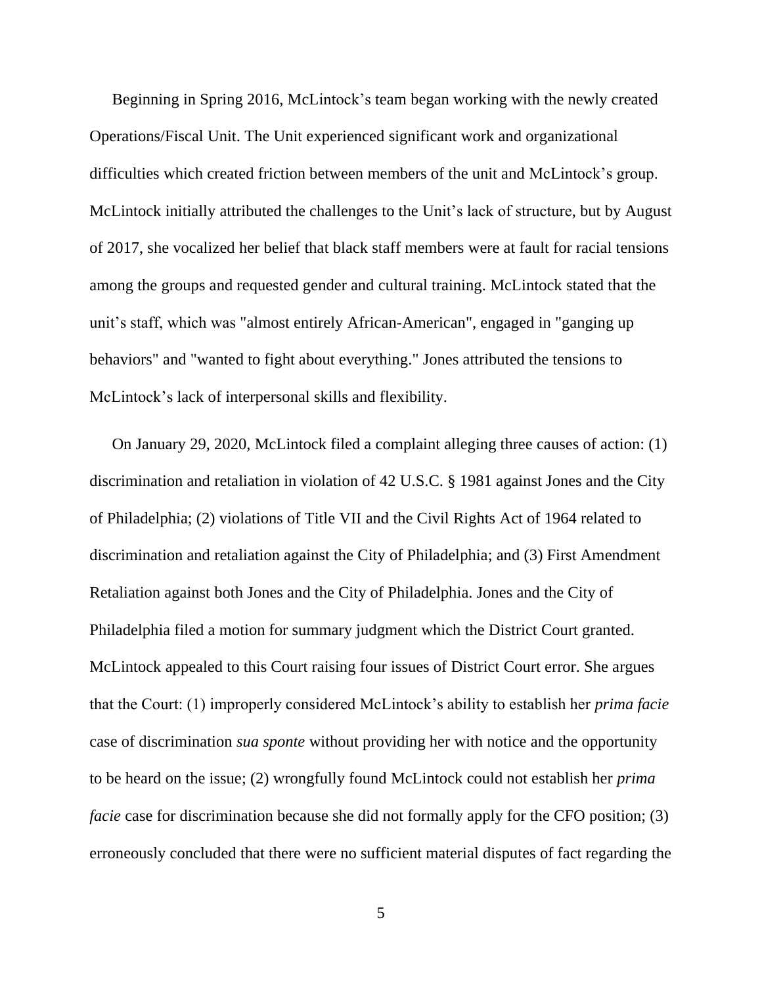Beginning in Spring 2016, McLintock's team began working with the newly created Operations/Fiscal Unit. The Unit experienced significant work and organizational difficulties which created friction between members of the unit and McLintock's group. McLintock initially attributed the challenges to the Unit's lack of structure, but by August of 2017, she vocalized her belief that black staff members were at fault for racial tensions among the groups and requested gender and cultural training. McLintock stated that the unit's staff, which was "almost entirely African-American", engaged in "ganging up behaviors" and "wanted to fight about everything." Jones attributed the tensions to McLintock's lack of interpersonal skills and flexibility.

On January 29, 2020, McLintock filed a complaint alleging three causes of action: (1) discrimination and retaliation in violation of 42 U.S.C. § 1981 against Jones and the City of Philadelphia; (2) violations of Title VII and the Civil Rights Act of 1964 related to discrimination and retaliation against the City of Philadelphia; and (3) First Amendment Retaliation against both Jones and the City of Philadelphia. Jones and the City of Philadelphia filed a motion for summary judgment which the District Court granted. McLintock appealed to this Court raising four issues of District Court error. She argues that the Court: (1) improperly considered McLintock's ability to establish her *prima facie*  case of discrimination *sua sponte* without providing her with notice and the opportunity to be heard on the issue; (2) wrongfully found McLintock could not establish her *prima facie* case for discrimination because she did not formally apply for the CFO position; (3) erroneously concluded that there were no sufficient material disputes of fact regarding the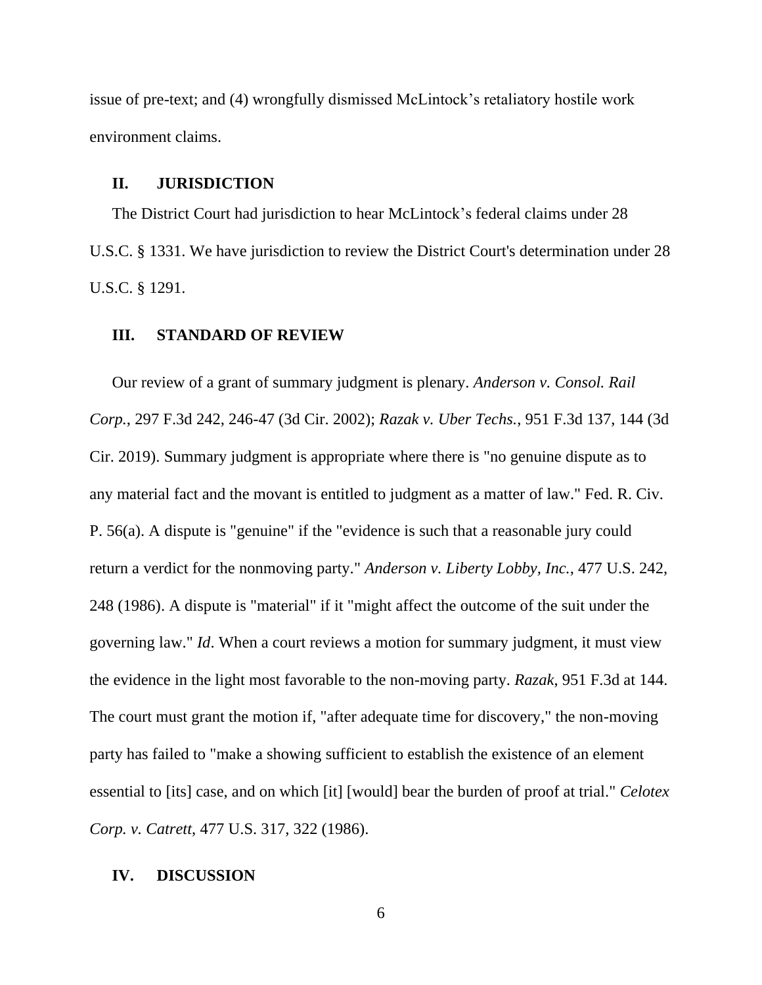issue of pre-text; and (4) wrongfully dismissed McLintock's retaliatory hostile work environment claims.

#### **II. JURISDICTION**

The District Court had jurisdiction to hear McLintock's federal claims under 28 U.S.C. § 1331. We have jurisdiction to review the District Court's determination under 28 U.S.C. § 1291.

#### **III. STANDARD OF REVIEW**

Our review of a grant of summary judgment is plenary. *Anderson v. Consol. Rail Corp.*, 297 F.3d 242, 246-47 (3d Cir. 2002); *Razak v. Uber Techs.*, 951 F.3d 137, 144 (3d Cir. 2019). Summary judgment is appropriate where there is "no genuine dispute as to any material fact and the movant is entitled to judgment as a matter of law." [Fed. R. Civ.](https://plus.lexis.com/document/?pdmfid=1530671&crid=2bbd5a53-5613-4a02-91c8-3b86a70685bd&pddocfullpath=%2Fshared%2Fdocument%2Fcases%2Furn%3AcontentItem%3A648H-BWM1-JJ1H-X3J2-00000-00&pdcontentcomponentid=6387&pdworkfolderlocatorid=NOT_SAVED_IN_WORKFOLDER&prid=51e0b96f-35d1-4d33-a622-e77fc8f21949&ecomp=tf4k&earg=sr0)  [P. 56\(a\).](https://plus.lexis.com/document/?pdmfid=1530671&crid=2bbd5a53-5613-4a02-91c8-3b86a70685bd&pddocfullpath=%2Fshared%2Fdocument%2Fcases%2Furn%3AcontentItem%3A648H-BWM1-JJ1H-X3J2-00000-00&pdcontentcomponentid=6387&pdworkfolderlocatorid=NOT_SAVED_IN_WORKFOLDER&prid=51e0b96f-35d1-4d33-a622-e77fc8f21949&ecomp=tf4k&earg=sr0) A dispute is "genuine" if the "evidence is such that a reasonable jury could return a verdict for the nonmoving party." *Anderson v. Liberty Lobby, Inc.*, 477 U.S. 242, 248 (1986). A dispute is "material" if it "might affect the outcome of the suit under the governing law." *Id*. When a court reviews a motion for summary judgment, it must view the evidence in the light most favorable to the non-moving party. *Razak*, 951 F.3d at 144. The court must grant the motion if, "after adequate time for discovery," the non-moving party has failed to "make a showing sufficient to establish the existence of an element essential to [its] case, and on which [it] [would] bear the burden of proof at trial." *Celotex Corp. v. Catrett*, 477 U.S. 317, 322 (1986).

## **IV. DISCUSSION**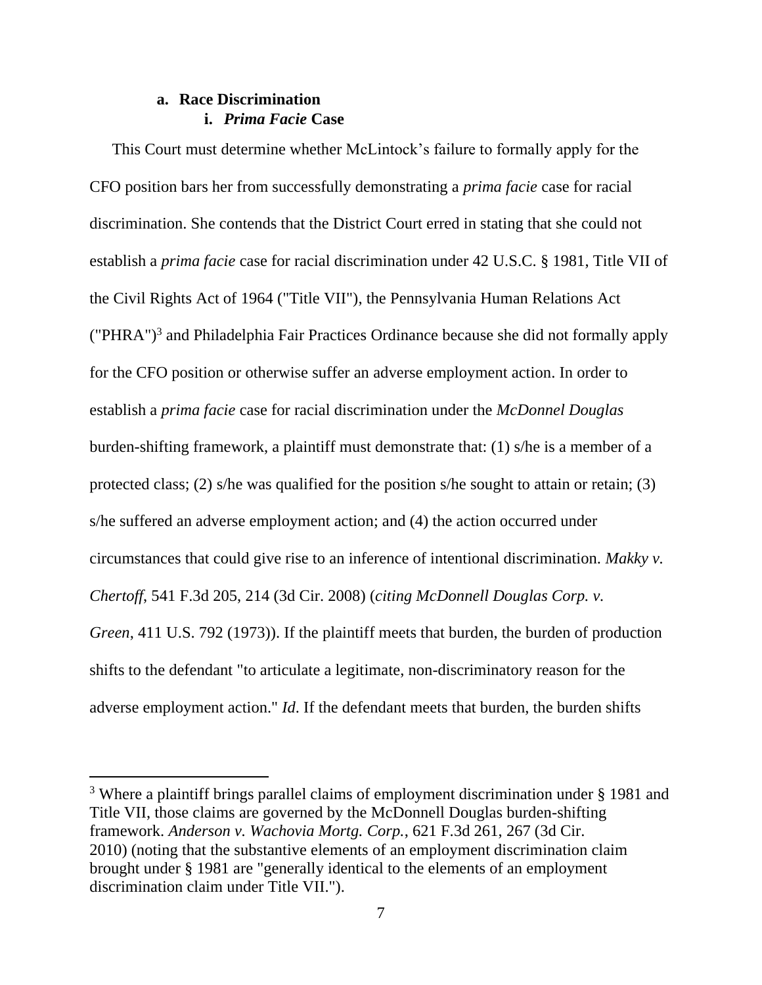# **a. Race Discrimination i.** *Prima Facie* **Case**

This Court must determine whether McLintock's failure to formally apply for the CFO position bars her from successfully demonstrating a *prima facie* case for racial discrimination. She contends that the District Court erred in stating that she could not establish a *prima facie* case for racial discrimination under 42 U.S.C. § 1981, Title VII of the Civil Rights Act of 1964 ("Title VII"), the Pennsylvania Human Relations Act ("PHRA") 3 and Philadelphia Fair Practices Ordinance because she did not formally apply for the CFO position or otherwise suffer an adverse employment action. In order to establish a *prima facie* case for racial discrimination under the *McDonnel Douglas* burden-shifting framework, a plaintiff must demonstrate that: (1) s/he is a member of a protected class; (2) s/he was qualified for the position s/he sought to attain or retain; (3) s/he suffered an adverse employment action; and (4) the action occurred under circumstances that could give rise to an inference of intentional discrimination. *Makky v. Chertoff*, 541 F.3d 205, 214 (3d Cir. 2008) (*citing McDonnell Douglas Corp. v. Green*, 411 U.S. 792 (1973)). If the plaintiff meets that burden, the burden of production shifts to the defendant "to articulate a legitimate, non-discriminatory reason for the adverse employment action." *Id*. If the defendant meets that burden, the burden shifts

<sup>&</sup>lt;sup>3</sup> Where a plaintiff brings parallel claims of employment discrimination under § 1981 and Title VII, those claims are governed by the McDonnell Douglas burden-shifting framework. *Anderson v. Wachovia Mortg. Corp.*, 621 F.3d 261, 267 (3d Cir. 2010) (noting that the substantive elements of an employment discrimination claim brought under [§ 1981](https://plus.lexis.com/document/?pdmfid=1530671&crid=b5a7435f-6f83-4776-ac0a-67f0fb402c02&pddocfullpath=%2Fshared%2Fdocument%2Fcases%2Furn%3AcontentItem%3A60GF-2XT1-FBN1-2005-00000-00&pdcontentcomponentid=6413&pdworkfolderlocatorid=NOT_SAVED_IN_WORKFOLDER&prid=abf709c8-0cb4-44f5-b6cd-74fba96301e5&ecomp=gf4k&earg=sr0) are "generally identical to the elements of an employment discrimination claim under Title VII.").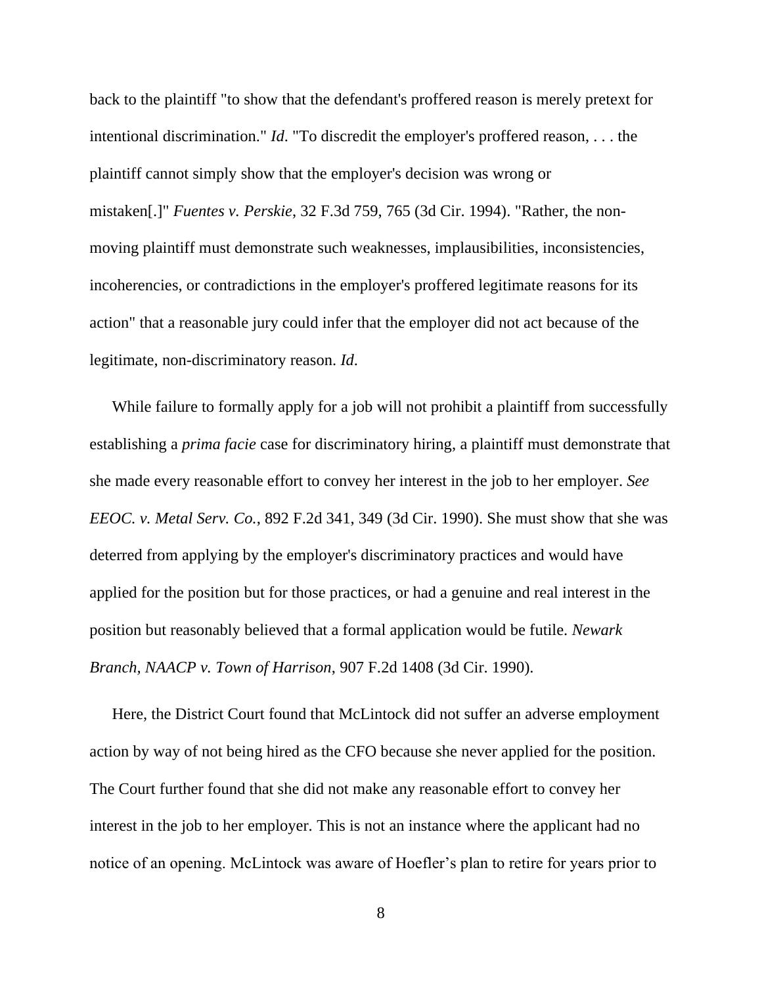back to the plaintiff "to show that the defendant's proffered reason is merely pretext for intentional discrimination." *Id*. "To discredit the employer's proffered reason, . . . the plaintiff cannot simply show that the employer's decision was wrong or mistaken[.]" *Fuentes v. Perskie*, 32 F.3d 759, 765 (3d Cir. 1994). "Rather, the nonmoving plaintiff must demonstrate such weaknesses, implausibilities, inconsistencies, incoherencies, or contradictions in the employer's proffered legitimate reasons for its action" that a reasonable jury could infer that the employer did not act because of the legitimate, non-discriminatory reason. *Id*.

While failure to formally apply for a job will not prohibit a plaintiff from successfully establishing a *prima facie* case for discriminatory hiring, a plaintiff must demonstrate that she made every reasonable effort to convey her interest in the job to her employer. *See EEOC. v. Metal Serv. Co.*, 892 F.2d 341, 349 (3d Cir. 1990). She must show that she was deterred from applying by the employer's discriminatory practices and would have applied for the position but for those practices, or had a genuine and real interest in the position but reasonably believed that a formal application would be futile. *Newark Branch, NAACP v. Town of Harrison*, 907 F.2d 1408 (3d Cir. 1990).

Here, the District Court found that McLintock did not suffer an adverse employment action by way of not being hired as the CFO because she never applied for the position. The Court further found that she did not make any reasonable effort to convey her interest in the job to her employer. This is not an instance where the applicant had no notice of an opening. McLintock was aware of Hoefler's plan to retire for years prior to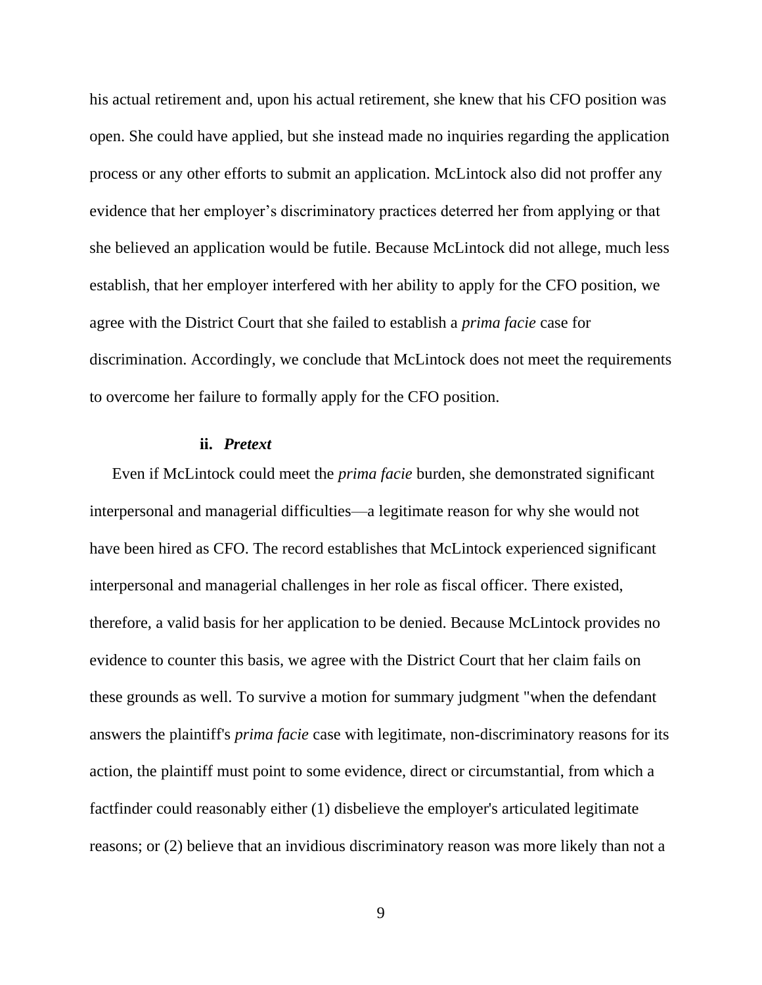his actual retirement and, upon his actual retirement, she knew that his CFO position was open. She could have applied, but she instead made no inquiries regarding the application process or any other efforts to submit an application. McLintock also did not proffer any evidence that her employer's discriminatory practices deterred her from applying or that she believed an application would be futile. Because McLintock did not allege, much less establish, that her employer interfered with her ability to apply for the CFO position, we agree with the District Court that she failed to establish a *prima facie* case for discrimination. Accordingly, we conclude that McLintock does not meet the requirements to overcome her failure to formally apply for the CFO position.

#### **ii.** *Pretext*

Even if McLintock could meet the *prima facie* burden, she demonstrated significant interpersonal and managerial difficulties—a legitimate reason for why she would not have been hired as CFO. The record establishes that McLintock experienced significant interpersonal and managerial challenges in her role as fiscal officer. There existed, therefore, a valid basis for her application to be denied. Because McLintock provides no evidence to counter this basis, we agree with the District Court that her claim fails on these grounds as well. To survive a motion for summary judgment "when the defendant answers the plaintiff's *prima facie* case with legitimate, non-discriminatory reasons for its action, the plaintiff must point to some evidence, direct or circumstantial, from which a factfinder could reasonably either (1) disbelieve the employer's articulated legitimate reasons; or (2) believe that an invidious discriminatory reason was more likely than not a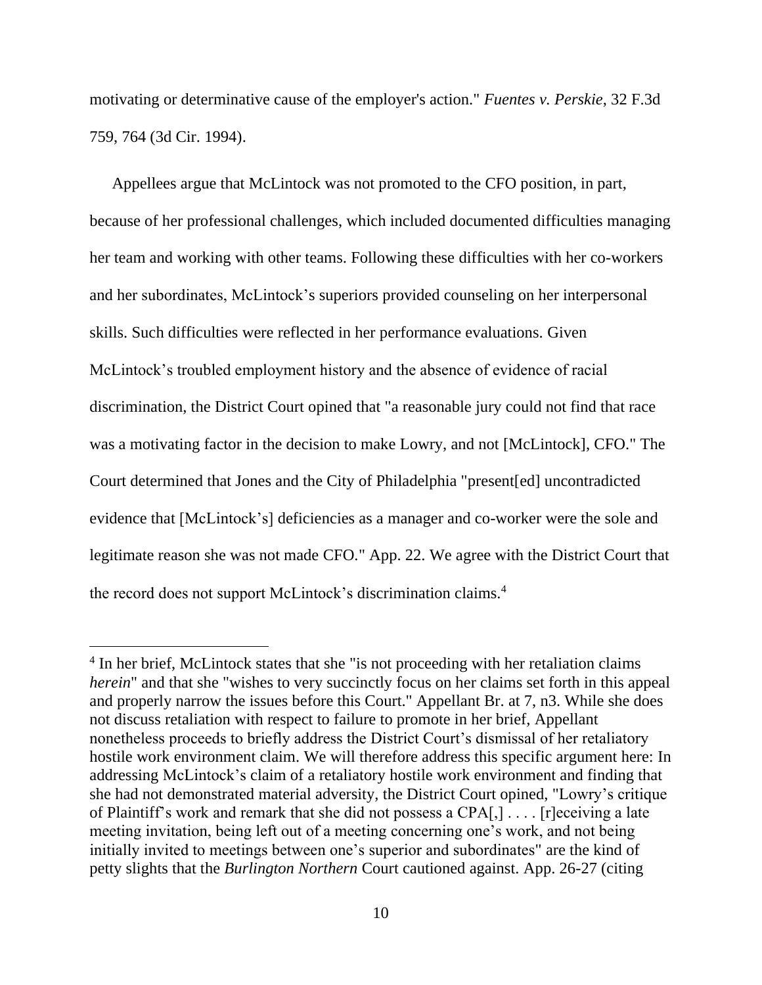motivating or determinative cause of the employer's action." *Fuentes v. Perskie*, 32 F.3d 759, 764 (3d Cir. 1994).

Appellees argue that McLintock was not promoted to the CFO position, in part, because of her professional challenges, which included documented difficulties managing her team and working with other teams. Following these difficulties with her co-workers and her subordinates, McLintock's superiors provided counseling on her interpersonal skills. Such difficulties were reflected in her performance evaluations. Given McLintock's troubled employment history and the absence of evidence of racial discrimination, the District Court opined that "a reasonable jury could not find that race was a motivating factor in the decision to make Lowry, and not [McLintock], CFO." The Court determined that Jones and the City of Philadelphia "present[ed] uncontradicted evidence that [McLintock's] deficiencies as a manager and co-worker were the sole and legitimate reason she was not made CFO." App. 22. We agree with the District Court that the record does not support McLintock's discrimination claims. 4

<sup>&</sup>lt;sup>4</sup> In her brief, McLintock states that she "is not proceeding with her retaliation claims *herein*" and that she "wishes to very succinctly focus on her claims set forth in this appeal and properly narrow the issues before this Court." Appellant Br. at 7, n3. While she does not discuss retaliation with respect to failure to promote in her brief, Appellant nonetheless proceeds to briefly address the District Court's dismissal of her retaliatory hostile work environment claim. We will therefore address this specific argument here: In addressing McLintock's claim of a retaliatory hostile work environment and finding that she had not demonstrated material adversity, the District Court opined, "Lowry's critique of Plaintiff's work and remark that she did not possess a CPA[,] . . . . [r]eceiving a late meeting invitation, being left out of a meeting concerning one's work, and not being initially invited to meetings between one's superior and subordinates" are the kind of petty slights that the *Burlington Northern* Court cautioned against. App. 26-27 (citing